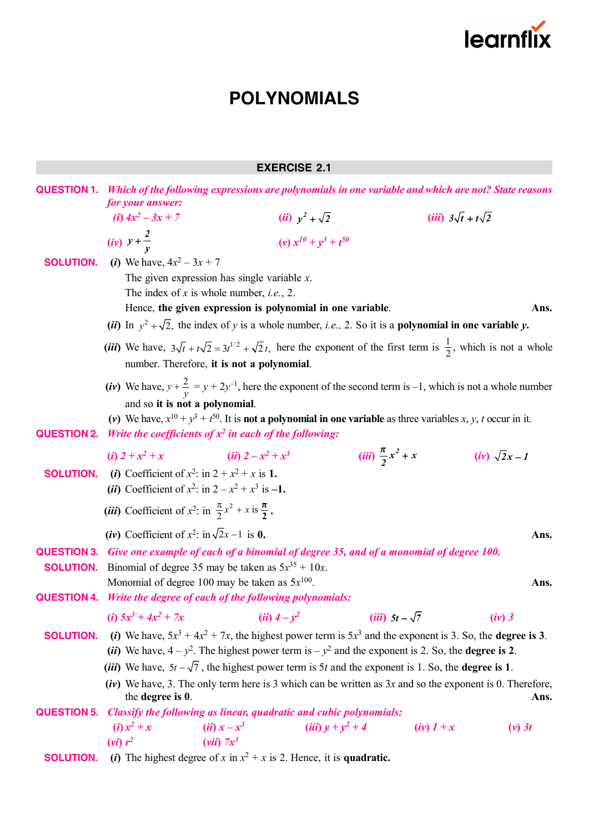

# **EXERCISE 2.1**

|                    | <b>QUESTION 1.</b> Which of the following expressions are polynomials in one variable and which are not? State reasons                                                                                                                   |                                                            |                                |                               |                      |  |  |
|--------------------|------------------------------------------------------------------------------------------------------------------------------------------------------------------------------------------------------------------------------------------|------------------------------------------------------------|--------------------------------|-------------------------------|----------------------|--|--|
|                    | for your answer:<br>(i) $4x^2 - 3x + 7$                                                                                                                                                                                                  |                                                            |                                | (iii) $3\sqrt{t} + t\sqrt{2}$ |                      |  |  |
|                    |                                                                                                                                                                                                                                          |                                                            | ( <i>ii</i> ) $y^2 + \sqrt{2}$ |                               |                      |  |  |
|                    | ( <i>iv</i> ) $y + \frac{2}{v}$                                                                                                                                                                                                          |                                                            | (v) $x^{10} + y^3 + t^{50}$    |                               |                      |  |  |
| <b>SOLUTION.</b>   | ( <i>i</i> ) We have, $4x^2 - 3x + 7$                                                                                                                                                                                                    |                                                            |                                |                               |                      |  |  |
|                    |                                                                                                                                                                                                                                          | The given expression has single variable $x$ .             |                                |                               |                      |  |  |
|                    |                                                                                                                                                                                                                                          | The index of $x$ is whole number, <i>i.e.</i> , 2.         |                                |                               |                      |  |  |
|                    |                                                                                                                                                                                                                                          | Hence, the given expression is polynomial in one variable. |                                |                               | Ans.                 |  |  |
|                    | (ii) In $y^2 + \sqrt{2}$ , the index of y is a whole number, <i>i.e.</i> , 2. So it is a <b>polynomial in one variable y.</b>                                                                                                            |                                                            |                                |                               |                      |  |  |
|                    | (iii) We have, $3\sqrt{t} + t\sqrt{2} = 3t^{1/2} + \sqrt{2}t$ , here the exponent of the first term is $\frac{1}{2}$ , which is not a whole<br>number. Therefore, it is not a polynomial.                                                |                                                            |                                |                               |                      |  |  |
|                    | (iv) We have, $y + \frac{2}{y} = y + 2y^{-1}$ , here the exponent of the second term is -1, which is not a whole number<br>and so it is not a polynomial.                                                                                |                                                            |                                |                               |                      |  |  |
|                    | (v) We have, $x^{10} + y^3 + t^{50}$ . It is <b>not a polynomial in one variable</b> as three variables x, y, t occur in it.                                                                                                             |                                                            |                                |                               |                      |  |  |
| <b>QUESTION 2.</b> | Write the coefficients of $x^2$ in each of the following:                                                                                                                                                                                |                                                            |                                |                               |                      |  |  |
|                    | ( <i>i</i> ) $2 + x^2 + x$                                                                                                                                                                                                               | ( <i>ii</i> ) $2 - x^2 + x^3$                              |                                | (iii) $\frac{\pi}{2}x^2 + x$  | $(iv)$ $\sqrt{2}x-1$ |  |  |
| <b>SOLUTION.</b>   | (i) Coefficient of $x^2$ : in $2 + x^2 + x$ is 1.                                                                                                                                                                                        |                                                            |                                |                               |                      |  |  |
|                    | ( <i>ii</i> ) Coefficient of $x^2$ : in $2 - x^2 + x^3$ is -1.                                                                                                                                                                           |                                                            |                                |                               |                      |  |  |
|                    | ( <i>iii</i> ) Coefficient of $x^2$ : in $\frac{\pi}{2}x^2 + x$ is $\frac{\pi}{2}$ .                                                                                                                                                     |                                                            |                                |                               |                      |  |  |
|                    | (iv) Coefficient of $x^2$ : in $\sqrt{2}x-1$ is 0.                                                                                                                                                                                       |                                                            |                                |                               | Ans.                 |  |  |
| <b>QUESTION 3.</b> | Give one example of each of a binomial of degree 35, and of a monomial of degree 100.                                                                                                                                                    |                                                            |                                |                               |                      |  |  |
| <b>SOLUTION.</b>   | Binomial of degree 35 may be taken as $5x^{35} + 10x$ .                                                                                                                                                                                  |                                                            |                                |                               | Ans.                 |  |  |
|                    | Monomial of degree 100 may be taken as $5x^{100}$ .                                                                                                                                                                                      |                                                            |                                |                               |                      |  |  |
|                    | <b>QUESTION 4.</b> Write the degree of each of the following polynomials:                                                                                                                                                                |                                                            |                                |                               |                      |  |  |
|                    | ( <i>i</i> ) $5x^3 + 4x^2 + 7x$                                                                                                                                                                                                          | ( <i>ii</i> ) $4 - y^2$                                    |                                | $(iii)$ 5t – $\sqrt{7}$       | $(iv)$ 3             |  |  |
| <b>SOLUTION.</b>   | (i) We have, $5x^3 + 4x^2 + 7x$ , the highest power term is $5x^3$ and the exponent is 3. So, the <b>degree is 3</b> .                                                                                                                   |                                                            |                                |                               |                      |  |  |
|                    | (ii) We have, $4 - y^2$ . The highest power term is $-y^2$ and the exponent is 2. So, the <b>degree is 2</b> .                                                                                                                           |                                                            |                                |                               |                      |  |  |
|                    | ( <i>iii</i> ) We have, $5t - \sqrt{7}$ , the highest power term is 5t and the exponent is 1. So, the <b>degree is 1</b> .<br>(iv) We have, 3. The only term here is 3 which can be written as $3x$ and so the exponent is 0. Therefore, |                                                            |                                |                               |                      |  |  |
|                    | the degree is 0.                                                                                                                                                                                                                         |                                                            |                                |                               | Ans.                 |  |  |
| <b>QUESTION 5.</b> | Classify the following as linear, quadratic and cubic polynomials:                                                                                                                                                                       |                                                            |                                |                               |                      |  |  |
|                    | $(i) x2 + x$<br>$(vi)$ $r^2$                                                                                                                                                                                                             | $(ii) x - x^3$<br>$(vii)$ $7x^3$                           | ( <i>iii</i> ) $y + y^2 + 4$   | $(iv)$ $1 + x$                | $(v)$ 3t             |  |  |
| <b>SOLUTION.</b>   | (i) The highest degree of x in $x^2 + x$ is 2. Hence, it is quadratic.                                                                                                                                                                   |                                                            |                                |                               |                      |  |  |
|                    |                                                                                                                                                                                                                                          |                                                            |                                |                               |                      |  |  |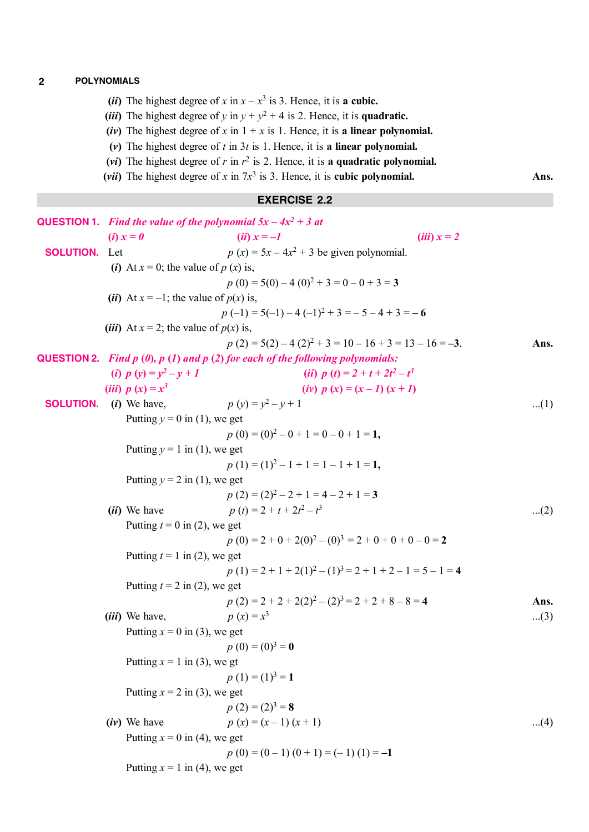- (*ii*) The highest degree of *x* in  $x x^3$  is 3. Hence, it is **a cubic.**
- (*iii*) The highest degree of *y* in  $y + y^2 + 4$  is 2. Hence, it is quadratic.
- (*iv*) The highest degree of *x* in  $1 + x$  is 1. Hence, it is **a linear polynomial.**
- **(***v***)** The highest degree of *t* in 3*t* is 1. Hence, it is **a linear polynomial.**
- (*vi*) The highest degree of  $r$  in  $r^2$  is 2. Hence, it is a quadratic polynomial.
- (*vii*) The highest degree of *x* in  $7x^3$  is 3. Hence, it is **cubic polynomial.** Ans.

## **EXERCISE 2.2**

|                               | <b>QUESTION 1.</b> Find the value of the polynomial $5x - 4x^2 + 3$ at |                                                     |                                                                                           |       |  |
|-------------------------------|------------------------------------------------------------------------|-----------------------------------------------------|-------------------------------------------------------------------------------------------|-------|--|
|                               |                                                                        | $(i) x = 0$                                         | $(ii) x = -1$<br>$(iii) x = 2$                                                            |       |  |
| <b>SOLUTION.</b> Let          |                                                                        |                                                     | $p(x) = 5x - 4x^2 + 3$ be given polynomial.                                               |       |  |
|                               |                                                                        | (i) At $x = 0$ ; the value of $p(x)$ is,            |                                                                                           |       |  |
|                               |                                                                        |                                                     | $p(0) = 5(0) - 4(0)^2 + 3 = 0 - 0 + 3 = 3$                                                |       |  |
|                               |                                                                        | ( <i>ii</i> ) At $x = -1$ ; the value of $p(x)$ is, |                                                                                           |       |  |
|                               |                                                                        |                                                     | $p(-1) = 5(-1) - 4(-1)^2 + 3 = -5 - 4 + 3 = -6$                                           |       |  |
|                               |                                                                        | ( <i>iii</i> ) At $x = 2$ ; the value of $p(x)$ is, |                                                                                           |       |  |
|                               |                                                                        |                                                     | $p(2) = 5(2) - 4(2)^{2} + 3 = 10 - 16 + 3 = 13 - 16 = -3.$                                | Ans.  |  |
|                               |                                                                        |                                                     | <b>QUESTION 2.</b> Find $p(0)$ , $p(1)$ and $p(2)$ for each of the following polynomials: |       |  |
|                               |                                                                        | (i) $p(y) = y^2 - y + 1$                            | (ii) $p(t) = 2 + t + 2t^2 - t^3$                                                          |       |  |
|                               |                                                                        | (iii) $p(x) = x^3$                                  | (iv) $p(x) = (x - 1)(x + 1)$                                                              |       |  |
| <b>SOLUTION.</b> (i) We have, |                                                                        |                                                     | $p(y) = y^2 - y + 1$                                                                      | $(1)$ |  |
|                               |                                                                        | Putting $y = 0$ in (1), we get                      |                                                                                           |       |  |
|                               |                                                                        |                                                     | $p(0) = (0)^2 - 0 + 1 = 0 - 0 + 1 = 1$ ,                                                  |       |  |
|                               |                                                                        | Putting $y = 1$ in (1), we get                      |                                                                                           |       |  |
|                               |                                                                        |                                                     | $p(1) = (1)^2 - 1 + 1 = 1 - 1 + 1 = 1$ .                                                  |       |  |
|                               |                                                                        | Putting $y = 2$ in (1), we get                      |                                                                                           |       |  |
|                               |                                                                        |                                                     | $p(2) = (2)^2 - 2 + 1 = 4 - 2 + 1 = 3$                                                    |       |  |
|                               |                                                                        | <i>(ii)</i> We have                                 | $p(t) = 2 + t + 2t^2 - t^3$                                                               | $(2)$ |  |
|                               |                                                                        | Putting $t = 0$ in (2), we get                      |                                                                                           |       |  |
|                               |                                                                        |                                                     | $p(0) = 2 + 0 + 2(0)^{2} - (0)^{3} = 2 + 0 + 0 + 0 - 0 = 2$                               |       |  |
|                               |                                                                        | Putting $t = 1$ in (2), we get                      |                                                                                           |       |  |
|                               |                                                                        |                                                     | $p(1) = 2 + 1 + 2(1)^{2} - (1)^{3} = 2 + 1 + 2 - 1 = 5 - 1 = 4$                           |       |  |
|                               |                                                                        | Putting $t = 2$ in (2), we get                      |                                                                                           |       |  |
|                               |                                                                        |                                                     | $p(2) = 2 + 2 + 2(2)^{2} - (2)^{3} = 2 + 2 + 8 - 8 = 4$                                   | Ans.  |  |
|                               |                                                                        | <i>(iii)</i> We have,                               | $p(x) = x^3$                                                                              | $(3)$ |  |
|                               |                                                                        | Putting $x = 0$ in (3), we get                      |                                                                                           |       |  |
|                               |                                                                        |                                                     | $p(0) = (0)3 = 0$                                                                         |       |  |
|                               |                                                                        | Putting $x = 1$ in (3), we gt                       |                                                                                           |       |  |
|                               |                                                                        |                                                     | $p(1) = (1)^3 = 1$                                                                        |       |  |
|                               |                                                                        | Putting $x = 2$ in (3), we get                      |                                                                                           |       |  |
|                               |                                                                        |                                                     | $p(2) = (2)^3 = 8$                                                                        |       |  |
|                               |                                                                        | $(iv)$ We have                                      | $p(x) = (x - 1)(x + 1)$                                                                   | $(4)$ |  |
|                               |                                                                        | Putting $x = 0$ in (4), we get                      |                                                                                           |       |  |
|                               |                                                                        |                                                     | $p(0) = (0-1)(0+1) = (-1)(1) = -1$                                                        |       |  |
|                               |                                                                        | Putting $x = 1$ in (4), we get                      |                                                                                           |       |  |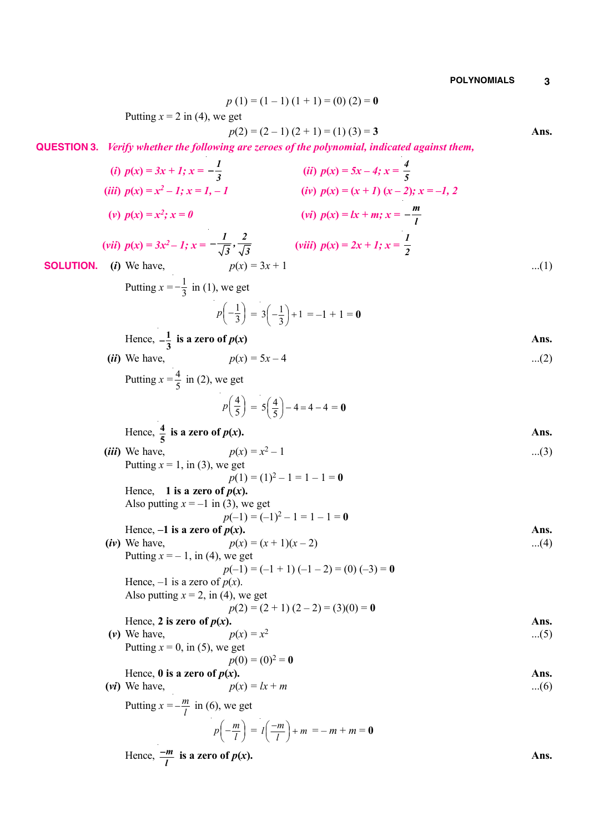$p(1) = (1 - 1)(1 + 1) = (0)(2) = 0$ Putting  $x = 2$  in (4), we get  $p(2) = (2-1)(2+1) = (1)(3) = 3$  **Ans. QUESTION 3.** *Verify whether the following are zeroes of the polynomial, indicated against them,* (*i*)  $p(x) = 3x + 1; x = -\frac{1}{3}$  $-\frac{1}{3}$  (ii)  $p(x) = 5x - 4; x = \frac{4}{5}$ (*iii*)  $p(x) = x^2 - 1$ ;  $x = 1, -1$  $(iv)$   $p(x) = (x + 1)(x - 2); x = -1, 2$ **(***v*)  $p(x) = x^2$ ;  $x = 0$  $(vi)$   $p(x) = lx + m; x = -\frac{m}{l}$ (*vii*)  $p(x) = 3x^2 - 1$ ;  $x = -\frac{1}{\sqrt{2}}, \frac{2}{\sqrt{2}}$  $-\frac{1}{\sqrt{3}}, \frac{2}{\sqrt{3}}$  (*viii*)  $p(x) = 2x + 1; x = \frac{1}{2}$ *2*  **SOLUTION.** (*i*) We have,  $p(x) = 3x + 1$  ...(1) Putting  $x = -\frac{1}{2}$  $-\frac{1}{3}$  in (1), we get 1  $p\left(-\frac{1}{3}\right) = 3\left(-\frac{1}{3}\right) + 1 = -1 + 1 = 0$ Hence,  $-\frac{1}{3}$  is a zero of  $p(x)$  Ans. (*ii*) We have,  $p(x) = 5x - 4$  ...(2) Putting  $x = \frac{4}{5}$  $\frac{4}{5}$  in (2), we get 4  $p\left(\frac{4}{5}\right) = 5\left(\frac{4}{5}\right) - 4 = 4 - 4 = 0$ Hence,  $\frac{4}{5}$  is a zero of  $p(x)$ . Ans. *(iii)* We have,  $p(x) = x^2 - 1$  $-1$  ...(3) Putting  $x = 1$ , in (3), we get  $p(1) = (1)^2 - 1 = 1 - 1 = 0$ Hence, **1** is a zero of  $p(x)$ . Also putting  $x = -1$  in (3), we get  $p(-1) = (-1)^2 - 1 = 1 - 1 = 0$ Hence,  $-1$  is a zero of  $p(x)$ . Ans. (*iv*) We have,  $p(x) = (x + 1)(x - 2)$  ...(4) Putting  $x = -1$ , in (4), we get  $p(-1) = (-1 + 1) (-1 - 2) = (0) (-3) = 0$ Hence,  $-1$  is a zero of  $p(x)$ . Also putting  $x = 2$ , in (4), we get  $p(2) = (2 + 1) (2 - 2) = (3)(0) = 0$ Hence, 2 is zero of  $p(x)$ . Ans.  $(v)$  We have,  $p(x) = x^2$ ...(5) Putting  $x = 0$ , in (5), we get  $p(0) = (0)^2 = 0$ Hence,  $\theta$  is a zero of  $p(x)$ . Ans. (*vi*) We have,  $p(x) = lx + m$  ...(6) Putting  $x = -\frac{m}{l}$  $-\frac{m}{l}$  in (6), we get  $p\left(-\frac{m}{l}\right) = l\left(\frac{-m}{l}\right) + m = -m + m = 0$ Hence,  $\frac{-m}{l}$  $\frac{-m}{l}$  is a zero of  $p(x)$ . Ans.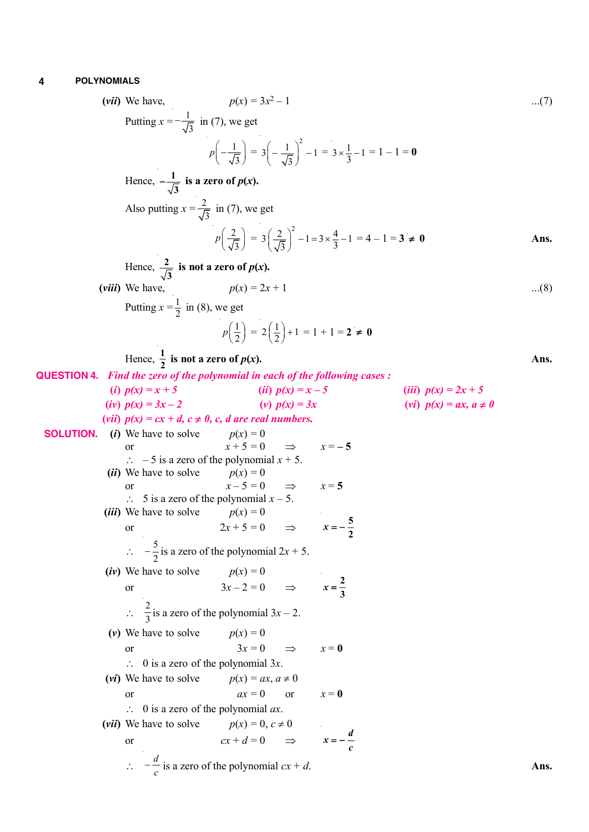(vii) We have,  
\n
$$
p(x) = 3x^2 - 1
$$
 ...(7)  
\nPutting  $x = -\frac{1}{\sqrt{3}}$  in (7), we get  
\n $p(-\frac{1}{\sqrt{3}}) = 3(-\frac{1}{\sqrt{3}})^2 - 1 = 3 \times \frac{1}{3} - 1 = 1 - 1 = 0$   
\nHence,  $-\frac{1}{\sqrt{3}}$  is a zero of  $p(x)$ .  
\nAlso putting  $x = \frac{2}{\sqrt{3}}$  in (7), we get  
\n $p(\frac{2}{\sqrt{3}}) = 3(\frac{2}{\sqrt{3}})^2 - 1 = 3 \times \frac{4}{3} - 1 = 4 - 1 = 3 \ne 0$   
\nHence,  $\frac{2}{\sqrt{3}}$  is not a zero of  $p(x)$ .  
\n(viii) We have,  
\n $p(x) = 2x + 1$  ...(8)  
\nPutting  $x = \frac{1}{2}$  in (8), we get  
\n $p(\frac{1}{2}) = 2(\frac{1}{2}) + 1 = 1 + 1 = 2 \ne 0$   
\nHence,  $\frac{1}{2}$  is not a zero of  $p(x)$ .  
\n**QUESTION 4.** Find the zero of the polynomial in each of the following cases :  
\n(i)  $p(x) = 3x - 2$  (ii)  $p(x) = 3x - 5$  (iii)  $p(x) = 2x + 5$   
\n(iv)  $p(x) = 3x - 2$  (v)  $p(x) = 3x$  (vi)  $p(x) = ax$ ,  $a \ne 0$   
\n**SOLUTION.** (b) We have to solve  $p(x) = 0$   
\nor  $x + 5 = 0 \Rightarrow x = -5$   
\n $\therefore$  5 is a zero of the polynomial  $x + 5$ .  
\n(ii) We have to solve  $p(x) = 0$   
\nor  $2x + 5 = 0 \Rightarrow x = 5$   
\n $\therefore$   $\frac{5}{16}$  is a zero of the polynomial  $2x + 5$ .  
\n(iv) We have to solve  $p(x) = 0$   
\nor  $2x - 5 = 0 \Rightarrow x = \frac{5}{2}$   
\n $\therefore$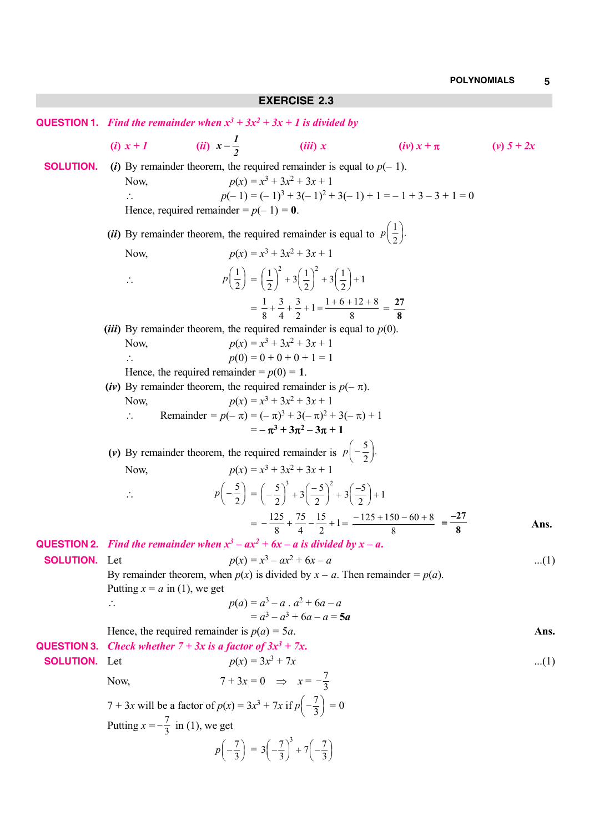|                                                                                                                       | <b>QUESTION 1.</b> Find the remainder when $x^3 + 3x^2 + 3x + 1$ is divided by                                                                             |                                                                                      |                                                                                                                            |                                                                                                     |              |  |
|-----------------------------------------------------------------------------------------------------------------------|------------------------------------------------------------------------------------------------------------------------------------------------------------|--------------------------------------------------------------------------------------|----------------------------------------------------------------------------------------------------------------------------|-----------------------------------------------------------------------------------------------------|--------------|--|
|                                                                                                                       | $(i) x+1$                                                                                                                                                  | ( <i>ii</i> ) $x - \frac{1}{2}$                                                      | (iii) x                                                                                                                    | $(iv) x + \pi$                                                                                      | $(v) 5 + 2x$ |  |
| <b>SOLUTION.</b>                                                                                                      | (i) By remainder theorem, the required remainder is equal to $p(-1)$ .<br>Now,<br>$\mathcal{L}_{\mathcal{L}}$<br>Hence, required remainder = $p(-1) = 0$ . |                                                                                      | $p(x) = x^3 + 3x^2 + 3x + 1$                                                                                               | $p(-1) = (-1)^3 + 3(-1)^2 + 3(-1) + 1 = -1 + 3 - 3 + 1 = 0$                                         |              |  |
|                                                                                                                       | ( <i>ii</i> ) By remainder theorem, the required remainder is equal to $p\left(\frac{1}{2}\right)$ .                                                       |                                                                                      |                                                                                                                            |                                                                                                     |              |  |
|                                                                                                                       | Now,                                                                                                                                                       |                                                                                      | $p(x) = x^3 + 3x^2 + 3x + 1$                                                                                               |                                                                                                     |              |  |
|                                                                                                                       | $\mathcal{L}_{\mathcal{C}}$                                                                                                                                |                                                                                      | $p\left(\frac{1}{2}\right) = \left(\frac{1}{2}\right)^2 + 3\left(\frac{1}{2}\right)^2 + 3\left(\frac{1}{2}\right) + 1$     |                                                                                                     |              |  |
|                                                                                                                       |                                                                                                                                                            |                                                                                      | $= \frac{1}{8} + \frac{3}{4} + \frac{3}{2} + 1 = \frac{1+6+12+8}{8} = \frac{27}{8}$                                        |                                                                                                     |              |  |
|                                                                                                                       | ( <i>iii</i> ) By remainder theorem, the required remainder is equal to $p(0)$ .                                                                           |                                                                                      |                                                                                                                            |                                                                                                     |              |  |
|                                                                                                                       | Now,                                                                                                                                                       |                                                                                      | $p(x) = x^3 + 3x^2 + 3x + 1$<br>$p(0) = 0 + 0 + 0 + 1 = 1$                                                                 |                                                                                                     |              |  |
|                                                                                                                       | Hence, the required remainder = $p(0) = 1$ .                                                                                                               |                                                                                      |                                                                                                                            |                                                                                                     |              |  |
|                                                                                                                       | (iv) By remainder theorem, the required remainder is $p(-\pi)$ .                                                                                           |                                                                                      |                                                                                                                            |                                                                                                     |              |  |
|                                                                                                                       | Now,<br>$\therefore$                                                                                                                                       |                                                                                      | $p(x) = x^3 + 3x^2 + 3x + 1$<br>Remainder = $p(-\pi) = (-\pi)^3 + 3(-\pi)^2 + 3(-\pi) + 1$                                 |                                                                                                     |              |  |
|                                                                                                                       |                                                                                                                                                            |                                                                                      | $=-\pi^3+3\pi^2-3\pi+1$                                                                                                    |                                                                                                     |              |  |
|                                                                                                                       | (v) By remainder theorem, the required remainder is $p\left(-\frac{5}{2}\right)$ .                                                                         |                                                                                      |                                                                                                                            |                                                                                                     |              |  |
| $p(x) = x^3 + 3x^2 + 3x + 1$<br>Now,                                                                                  |                                                                                                                                                            |                                                                                      |                                                                                                                            |                                                                                                     |              |  |
|                                                                                                                       |                                                                                                                                                            |                                                                                      | $p\left(-\frac{5}{2}\right) = \left(-\frac{5}{2}\right)^3 + 3\left(-\frac{5}{2}\right)^2 + 3\left(-\frac{5}{2}\right) + 1$ |                                                                                                     |              |  |
|                                                                                                                       |                                                                                                                                                            |                                                                                      |                                                                                                                            | $=-\frac{125}{8} + \frac{75}{4} - \frac{15}{2} + 1 = \frac{-125 + 150 - 60 + 8}{8} = \frac{-27}{8}$ | Ans.         |  |
|                                                                                                                       | <b>QUESTION 2.</b> Find the remainder when $x^3 - ax^2 + 6x - a$ is divided by $x - a$ .                                                                   |                                                                                      |                                                                                                                            |                                                                                                     |              |  |
| <b>SOLUTION.</b> Let                                                                                                  |                                                                                                                                                            |                                                                                      | $p(x) = x^3 - ax^2 + 6x - a$                                                                                               |                                                                                                     | $(1)$        |  |
| By remainder theorem, when $p(x)$ is divided by $x - a$ . Then remainder = $p(a)$ .<br>Putting $x = a$ in (1), we get |                                                                                                                                                            |                                                                                      |                                                                                                                            |                                                                                                     |              |  |
|                                                                                                                       | $\mathcal{L}_{\bullet}$                                                                                                                                    |                                                                                      | $p(a) = a^3 - a$ . $a^2 + 6a - a$                                                                                          |                                                                                                     |              |  |
|                                                                                                                       |                                                                                                                                                            |                                                                                      | $= a^3 - a^3 + 6a - a = 5a$                                                                                                |                                                                                                     |              |  |
| <b>QUESTION 3.</b>                                                                                                    | Hence, the required remainder is $p(a) = 5a$ .<br>Check whether $7 + 3x$ is a factor of $3x^3 + 7x$ .                                                      |                                                                                      |                                                                                                                            |                                                                                                     | Ans.         |  |
| <b>SOLUTION.</b>                                                                                                      | Let                                                                                                                                                        | $p(x) = 3x^3 + 7x$                                                                   |                                                                                                                            |                                                                                                     | $(1)$        |  |
|                                                                                                                       | Now,                                                                                                                                                       | $7+3x=0$ $\Rightarrow$ $x=-\frac{7}{3}$                                              |                                                                                                                            |                                                                                                     |              |  |
|                                                                                                                       | 7 + 3x will be a factor of $p(x) = 3x^3 + 7x$ if $p(-\frac{7}{3}) = 0$                                                                                     |                                                                                      |                                                                                                                            |                                                                                                     |              |  |
|                                                                                                                       | Putting $x = -\frac{7}{3}$ in (1), we get                                                                                                                  |                                                                                      |                                                                                                                            |                                                                                                     |              |  |
|                                                                                                                       |                                                                                                                                                            | $p\left(-\frac{7}{3}\right)=3\left(-\frac{7}{3}\right)^3+7\left(-\frac{7}{3}\right)$ |                                                                                                                            |                                                                                                     |              |  |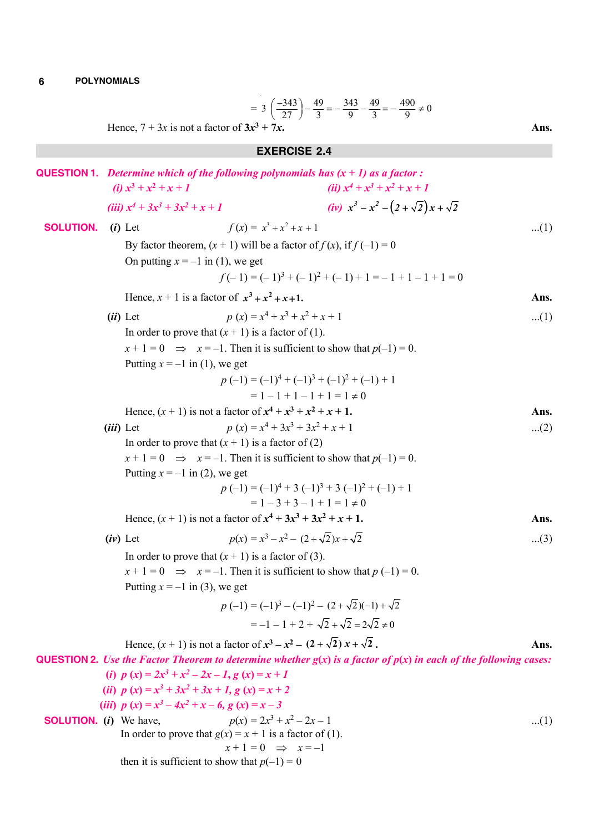$$
= 3\left(\frac{-343}{27}\right) - \frac{49}{3} = -\frac{343}{9} - \frac{49}{3} = -\frac{490}{9} \neq 0
$$
  
8x<sup>3</sup> + 7x.

**EXERCISE 2.4**

Hence,  $7 + 3x$  is not a factor of  $3x^3$ 

**QUESTION 1.** Determine which of the following polynomials has 
$$
(x + 1)
$$
 as a factor :  
\n(i)  $x^3 + x^2 + x + 1$   
\n(ii)  $x^4 + x^3 + x^2 + x + 1$   
\n(iii)  $x^4 + 3x^3 + 3x^2 + x + 1$   
\n(iv)  $x^3 - x^2 - (2 + \sqrt{2})x + \sqrt{2}$   
\n**SOLUTION.** (i) Let  $f(x) = x^3 + x^2 + x + 1$   
\nBy factor theorem,  $(x + 1)$  will be a factor of  $f(x)$ , if  $f(-1) = 0$   
\nOn putting  $x = -1$  in (1), we get  
\n $p(x) = x^4 + x^3 + x^2 + x + 1$   
\nIn order to prove that  $(x + 1)$  is a factor of (1).  
\n $x + 1 = 0 \implies x = -1$ . Then it is sufficient to show that  $p(-1) = 0$ .  
\nPutting  $x = -1$  in (1), we get  
\n $p(-1) = (-1)^3 + (-1)^3 + (-1)^2 + (-1)^1 + 1$   
\n $= 1 - 1 + 1 - 1 + 1 = 1 \ne 0$   
\nHence,  $(x + 1)$  is not a factor of  $x^4 + x^3 + x^2 + x + 1$ .  
\n(iii) Let  
\n $p(-1) = (-1)^4 + (-1)^3 + (-1)^2 + (-1)^1 + 1$   
\n $= 1 - 1 + 1 - 1 + 1 = 1 \ne 0$   
\nHence,  $(x + 1)$  is not a factor of  $x^4 + x^3 + x^2 + x + 1$ .  
\n(ii) Let  
\n $x + 1 = 0 \implies x = -1$ . Then it is sufficient to show that  $p(-1) = 0$ .  
\nPutting  $x = -1$  in (2), we get  
\n $x + 1 = 0 \implies x = -1$ . Then it is a factor of (2)  
\n $x + 1 = 0 \implies x = -1$ . Then it is sufficient to show that  $p(-1) = 0$ .  
\nPutting  $x = -1$  in (2), we get  
\n $p(-1) = (-1)^4 + 3(-1)^3 + 3(-1)^$ 

$$
x + 1 = 0 \Rightarrow x = -1
$$

then it is sufficient to show that  $p(-1) = 0$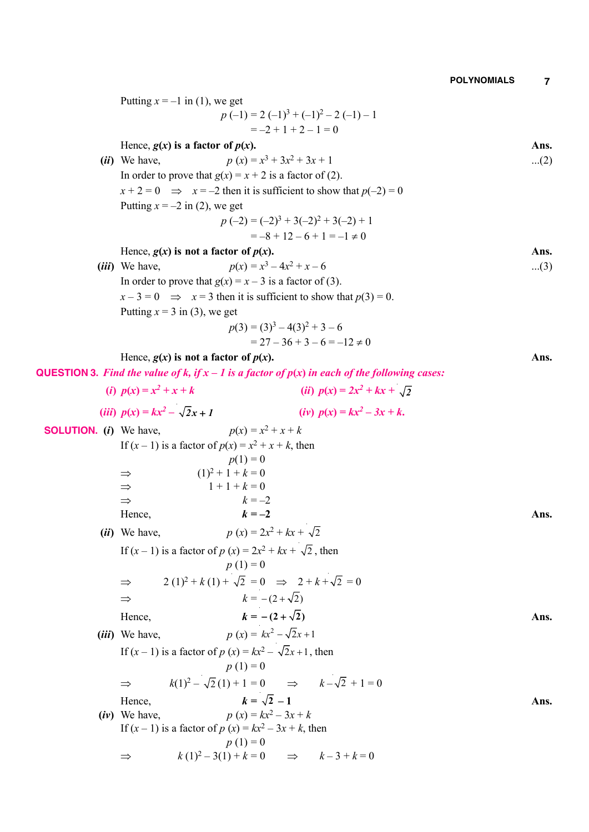|                                 | Putting $x = -1$ in (1), we get                                                                          |       |
|---------------------------------|----------------------------------------------------------------------------------------------------------|-------|
|                                 | $p(-1) = 2(-1)^3 + (-1)^2 - 2(-1) - 1$                                                                   |       |
|                                 | $=-2+1+2-1=0$                                                                                            |       |
|                                 | Hence, $g(x)$ is a factor of $p(x)$ .                                                                    | Ans.  |
|                                 | $p(x) = x^3 + 3x^2 + 3x + 1$<br>( <i>ii</i> ) We have,                                                   | $(2)$ |
|                                 | In order to prove that $g(x) = x + 2$ is a factor of (2).                                                |       |
|                                 | $x + 2 = 0 \implies x = -2$ then it is sufficient to show that $p(-2) = 0$                               |       |
|                                 | Putting $x = -2$ in (2), we get                                                                          |       |
|                                 | $p(-2) = (-2)^3 + 3(-2)^2 + 3(-2) + 1$                                                                   |       |
|                                 | $=-8+12-6+1=-1 \neq 0$                                                                                   |       |
|                                 | Hence, $g(x)$ is not a factor of $p(x)$ .                                                                | Ans.  |
|                                 | $p(x) = x^3 - 4x^2 + x - 6$<br>( <i>iii</i> ) We have,                                                   | $(3)$ |
|                                 | In order to prove that $g(x) = x - 3$ is a factor of (3).                                                |       |
|                                 | $x-3=0$ $\implies$ $x=3$ then it is sufficient to show that $p(3)=0$ .                                   |       |
|                                 | Putting $x = 3$ in (3), we get                                                                           |       |
|                                 | $p(3) = (3)^3 - 4(3)^2 + 3 - 6$                                                                          |       |
|                                 | $= 27 - 36 + 3 - 6 = -12 \neq 0$                                                                         |       |
|                                 | Hence, $g(x)$ is not a factor of $p(x)$ .                                                                | Ans.  |
|                                 | <b>QUESTION 3.</b> Find the value of k, if $x - 1$ is a factor of $p(x)$ in each of the following cases: |       |
|                                 | (i) $p(x) = x^2 + x + k$<br>( <i>ii</i> ) $p(x) = 2x^2 + kx + \sqrt{2}$                                  |       |
|                                 | ( <i>iii</i> ) $p(x) = kx^2 - \sqrt{2}x + 1$<br>(iv) $p(x) = kx^2 - 3x + k$ .                            |       |
| <b>SOLUTION.</b> $(i)$ We have, | $p(x) = x^2 + x + k$                                                                                     |       |
|                                 | If $(x - 1)$ is a factor of $p(x) = x^2 + x + k$ , then                                                  |       |
|                                 | $p(1) = 0$                                                                                               |       |
|                                 | $(1)^2 + 1 + k = 0$<br>$\Rightarrow$<br>$1 + 1 + k = 0$                                                  |       |
|                                 | $\Rightarrow$<br>$k = -2$<br>$\Rightarrow$                                                               |       |
|                                 | $k=-2$<br>Hence,                                                                                         | Ans.  |
|                                 | $p(x) = 2x^2 + kx + \sqrt{2}$<br>( <i>ii</i> ) We have,                                                  |       |
|                                 |                                                                                                          |       |
|                                 | If $(x - 1)$ is a factor of $p(x) = 2x^2 + kx + \sqrt{2}$ , then                                         |       |
|                                 | $p(1) = 0$                                                                                               |       |
|                                 | $2(1)^2 + k(1) + \sqrt{2} = 0 \implies 2 + k + \sqrt{2} = 0$<br>$\Rightarrow$                            |       |
|                                 | $k = -(2+\sqrt{2})$<br>$\Rightarrow$                                                                     |       |
|                                 | $k = -(2+\sqrt{2})$<br>Hence,                                                                            | Ans.  |
|                                 | $p(x) = kx^2 - \sqrt{2}x + 1$<br>( <i>iii</i> ) We have,                                                 |       |
|                                 | If $(x-1)$ is a factor of $p(x) = kx^2 - \sqrt{2}x + 1$ , then                                           |       |
|                                 | $p(1) = 0$                                                                                               |       |
|                                 | $k(1)^2 - \sqrt{2}(1) + 1 = 0$ $\implies$ $k - \sqrt{2} + 1 = 0$<br>$\Rightarrow$                        |       |
|                                 | $k = \sqrt{2} - 1$<br>Hence,                                                                             | Ans.  |
|                                 | $p(x) = kx^2 - 3x + k$<br>$(iv)$ We have,                                                                |       |
|                                 | If $(x - 1)$ is a factor of $p(x) = kx^2 - 3x + k$ , then                                                |       |
|                                 | $p(1) = 0$                                                                                               |       |
|                                 | $k(1)^2 - 3(1) + k = 0$ $\implies$ $k-3+k=0$<br>⇒                                                        |       |
|                                 |                                                                                                          |       |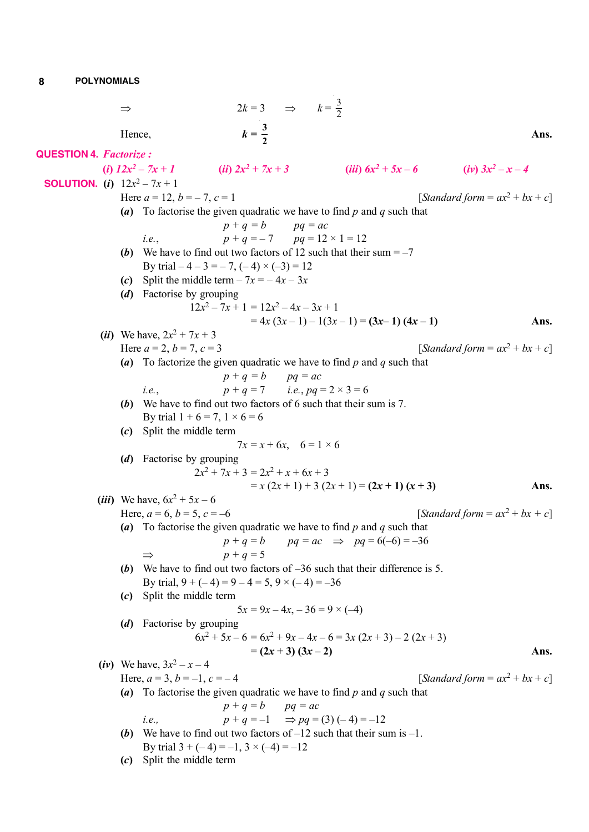**QUESTION 4.** *Factorize :*

**SOLUTION.** (*i*)  $12x^2 - 7x + 1$ 

| I<br>I<br>I<br>I |
|------------------|
|                  |

 $Hence,$ 

$$
\Rightarrow \qquad 2k = 3 \qquad \Rightarrow \qquad k = \frac{3}{2}
$$
\nHence,

\n
$$
k = \frac{3}{2}
$$
\nFactorize:

\n(i)  $12x^2 - 7x + 1$ 

\n(ii)  $2x^2 + 7x + 3$ 

\n(iii)  $6x^2 + 5x - 6$ 

\n(iv)  $3x^2 - x - 4$ 

\n(i)  $12x^2 - 7x + 1$ 

\nHere  $a = 12, b = -7, c = 1$ 

\n[Standard form =  $ax^2 + bx + c$ ]

**(***a***)** To factorise the given quadratic we have to find *p* and *q* such that

*i.e.*, 
$$
p + q = b
$$
  $pq = ac$   
*i.e.*,  $p + q = -7$   $pq = 12 \times 1 = 12$ 

- **(***b***)** We have to find out two factors of 12 such that their sum  $=-7$ By trial  $-4 - 3 = -7$ ,  $(-4) \times (-3) = 12$
- (*c*) Split the middle term  $-7x = -4x 3x$
- **(***d***)** Factorise by grouping

$$
12x2 - 7x + 1 = 12x2 - 4x - 3x + 1
$$
  
= 4x (3x - 1) - 1(3x - 1) = (3x - 1) (4x - 1)

(*ii*) We have,  $2x^2 + 7x + 3$ Here  $a = 2$ ,  $b = 7$ ,  $c = 3$ 

Here  $a = 12$ ,  $b = -7$ ,

 $[Standard form =  $ax^2 + bx + c$ ]$ 

**Ans.**

 *– x – 4*

**(***a***)** To factorize the given quadratic we have to find *p* and *q* such that

*i.e.*, 
$$
p + q = b
$$
  $pq = ac$   
*i.e.*,  $p + q = 7$  *i.e.*,  $pq = 2 \times 3 = 6$ 

**(***b***)** We have to find out two factors of 6 such that their sum is 7.

By trial  $1 + 6 = 7$ ,  $1 \times 6 = 6$ **(***c***)** Split the middle term

$$
7x = x + 6x, \quad 6 = 1 \times 6
$$

**(***d***)** Factorise by grouping

$$
2x2 + 7x + 3 = 2x2 + x + 6x + 3
$$
  
= x (2x + 1) + 3 (2x + 1) = (2x + 1) (x + 3)

(*iii*) We have,  $6x^2 + 5x - 6$ Here,  $a = 6$ ,  $b = 5$ ,  $c = -6$ [*Standard form* =  $ax^2 + bx + c$ ] **(***a***)** To factorise the given quadratic we have to find *p* and *q* such that  $p + q = b$  *pq* = *ac*  $\implies$  *pq* = 6(-6) = -36  $\Rightarrow$   $p + q = 5$ 

**(***b***)** We have to find out two factors of –36 such that their difference is 5. By trial,  $9 + (-4) = 9 - 4 = 5$ ,  $9 \times (-4) = -36$ 

**(***c***)** Split the middle term

$$
5x = 9x - 4x, -36 = 9 \times (-4)
$$

**(***d***)** Factorise by grouping  $6x^2 + 5x - 6 = 6x$ 

$$
= 6x2 + 9x - 4x - 6 = 3x (2x + 3) - 2 (2x + 3)
$$
  
= (2x + 3) (3x - 2)

\n- (iv) We have, 
$$
3x^2 - x - 4
$$
 [Standard form =  $ax^2 + bx + c$ ]
\n- (a) To factorise the given quadratic we have to find *p* and *q* such that  $p + q = b$   $pq = ac$
\n- i.e.,  $p + q = -1$   $\Rightarrow pq = (3)(-4) = -12$
\n- (b) We have to find out two factors of  $-12$  such that their sum is  $-1$ . By trial  $3 + (-4) = -1$ ,  $3 \times (-4) = -12$
\n

**(***c***)** Split the middle term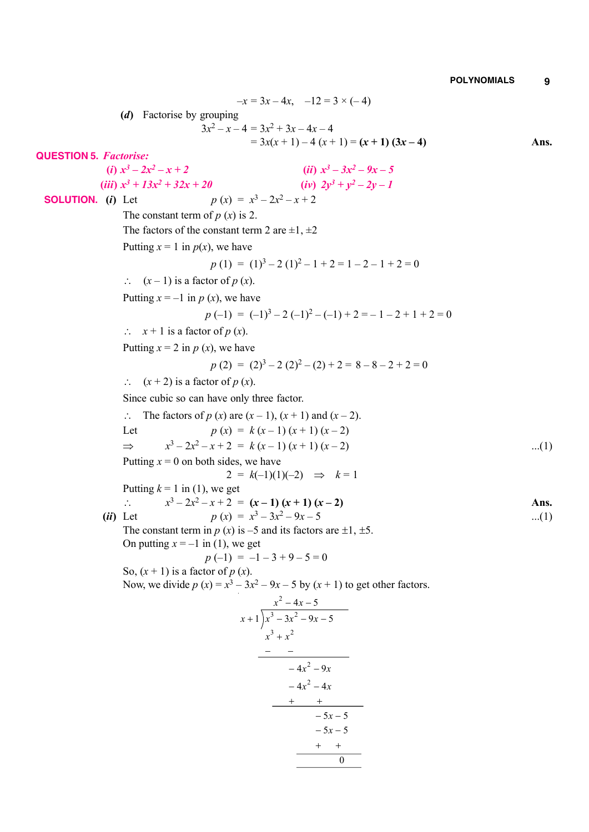$-x = 3x - 4x$ ,  $-12 = 3 \times (-4)$ **(***d***)** Factorise by grouping  $3x^2 - x - 4 = 3x^2 + 3x - 4x - 4$  $= 3x(x + 1) - 4(x + 1) = (x + 1)(3x - 4)$  Ans. **QUESTION 5.** *Factorise:* (*i*)  $x^3 - 2x^2 - x + 2$  (*ii*) *x*  $3^3 - 3x^2 - 9x - 5$  $(iii)$   $x^3 + 13x^2$  $(iv)$   $2y^3 + y^2 - 2y - 1$  **SOLUTION.** (*i*) Let  $3^3 - 2x^2 - x + 2$ The constant term of  $p(x)$  is 2. The factors of the constant term 2 are  $\pm 1, \pm 2$ Putting  $x = 1$  in  $p(x)$ , we have  $p(1) = (1)^3 - 2(1)^2 - 1 + 2 = 1 - 2 - 1 + 2 = 0$  $\therefore$   $(x-1)$  is a factor of *p*  $(x)$ . Putting  $x = -1$  in  $p(x)$ , we have  $p(-1) = (-1)^3 - 2(-1)^2 - (-1) + 2 = -1 - 2 + 1 + 2 = 0$  $\therefore$   $x + 1$  is a factor of *p* (*x*). Putting  $x = 2$  in  $p(x)$ , we have  $p(2) = (2)^3 - 2(2)^2 - (2) + 2 = 8 - 8 - 2 + 2 = 0$  $\therefore$   $(x + 2)$  is a factor of *p*  $(x)$ . Since cubic so can have only three factor.  $\therefore$  The factors of *p* (*x*) are (*x* – 1), (*x* + 1) and (*x* – 2). Let  $p(x) = k(x-1)(x+1)(x-2)$  $\Rightarrow$  $3-2x^2-x+2 = k(x-1)(x+1)(x-2)$  ...(1) Putting  $x = 0$  on both sides, we have  $2 = k(-1)(1)(-2) \implies k = 1$ Putting  $k = 1$  in (1), we get *x*  $3-2x^2-x+2 = (x-1)(x+1)(x-2)$  Ans. (*ii*) Let  $p(x) = x^3 - 3x^2 - 9x - 5$  ...(1) The constant term in  $p(x)$  is  $-5$  and its factors are  $\pm 1, \pm 5$ . On putting  $x = -1$  in (1), we get  $p(-1) = -1 - 3 + 9 - 5 = 0$ So,  $(x + 1)$  is a factor of  $p(x)$ . Now, we divide  $p(x) = x^3 - 3x^2 - 9x - 5$  by  $(x + 1)$  to get other factors. 2  $3 \t 2$  $3 \ldots 2$  $4x^2 - 9x$  $-4x^2 - 4x$  $4x - 5$  $1 | x^3 - 3x^2 - 9x - 5$  $5x - 5$  $-5x - 5$ 0  $x^2 - 4x$  $(x+1)x^3 - 3x^2 - 9x$  $x^3 + x^2$  $-4x +1$   $\int x^3 - 3x^2 - 9x ^{+}$  $-4x^2 +$   $+$  $-5x +$   $+$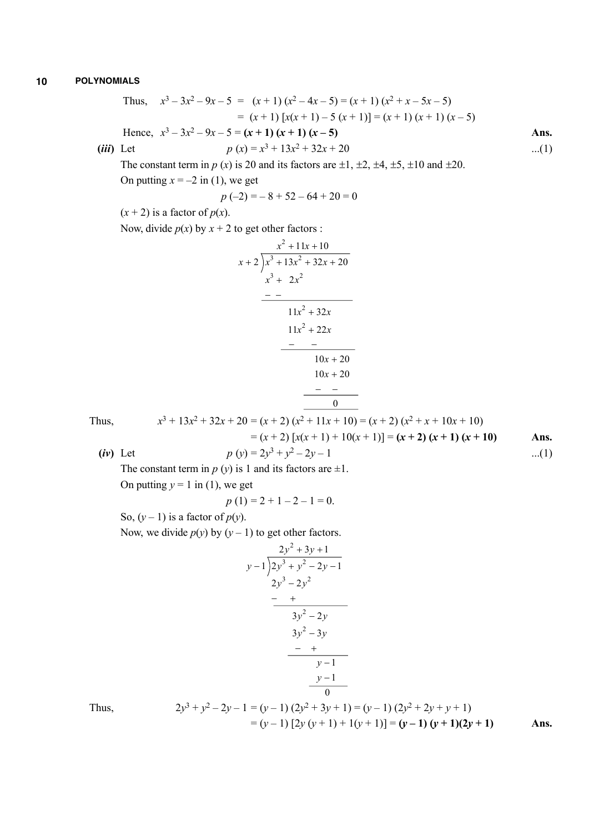Thus, 
$$
x^3 - 3x^2 - 9x - 5 = (x + 1)(x^2 - 4x - 5) = (x + 1)(x^2 + x - 5x - 5)
$$
  
\n
$$
= (x + 1)[x(x + 1) - 5(x + 1)] = (x + 1)(x + 1)(x - 5)
$$
\nHence,  $x^3 - 3x^2 - 9x - 5 = (x + 1)(x + 1)(x - 5)$   
\n(iii) Let  $p(x) = x^3 + 13x^2 + 32x + 20$  ...(1)

The constant term in  $p(x)$  is 20 and its factors are  $\pm 1$ ,  $\pm 2$ ,  $\pm 4$ ,  $\pm 5$ ,  $\pm 10$  and  $\pm 20$ . On putting  $x = -2$  in (1), we get

$$
p(-2) = -8 + 52 - 64 + 20 = 0
$$

 $(x + 2)$  is a factor of  $p(x)$ .

Now, divide  $p(x)$  by  $x + 2$  to get other factors :

$$
\begin{array}{r} x^2 + 11x + 10 \\ x + 2 \overline{\smash{\big)}\ x^3 + 13x^2 + 32x + 20} \\ x^3 + 2x^2 \\ \underline{\hspace{2cm}--} \\ 11x^2 + 32x \\ 11x^2 + 22x \\ \underline{\hspace{2cm}--} \\ 10x + 20 \\ 10x + 20 \\ \underline{\hspace{2cm}--} \\ 0 \\ \end{array}
$$

Thus, *x*

$$
\begin{aligned}\n\text{thus,} & x^3 + 13x^2 + 32x + 20 &= (x+2)(x^2 + 11x + 10) = (x+2)(x^2 + x + 10x + 10) \\
&= (x+2) \left[ x(x+1) + 10(x+1) \right] = (x+2) \left( x+1 \right) (x+10) \\
\text{Ans.} & \text{(iv) Let} & p \left( y \right) = 2y^3 + y^2 - 2y - 1 \qquad \qquad \dots (1)\n\end{aligned}
$$

The constant term in  $p(y)$  is 1 and its factors are  $\pm 1$ .

On putting  $y = 1$  in (1), we get

 $x^3$ 

$$
p(1) = 2 + 1 - 2 - 1 = 0.
$$

So,  $(y - 1)$  is a factor of  $p(y)$ .

Now, we divide  $p(y)$  by  $(y - 1)$  to get other factors.

$$
y-1 \overline{\smash{\big)}\ 2y^3 + y^2 - 2y - 1}
$$
\n
$$
2y^3 - 2y^2
$$
\n
$$
- +
$$
\n
$$
3y^2 - 2y
$$
\n
$$
- +
$$
\n
$$
3y^2 - 3y
$$
\n
$$
- +
$$
\n
$$
y-1
$$
\n
$$
y-1
$$

Thus, 2*y*

$$
2y3 + y2 - 2y - 1 = (y - 1) (2y2 + 3y + 1) = (y - 1) (2y2 + 2y + y + 1)
$$
  
= (y - 1) [2y (y + 1) + 1(y + 1)] = (y - 1) (y + 1)(2y + 1)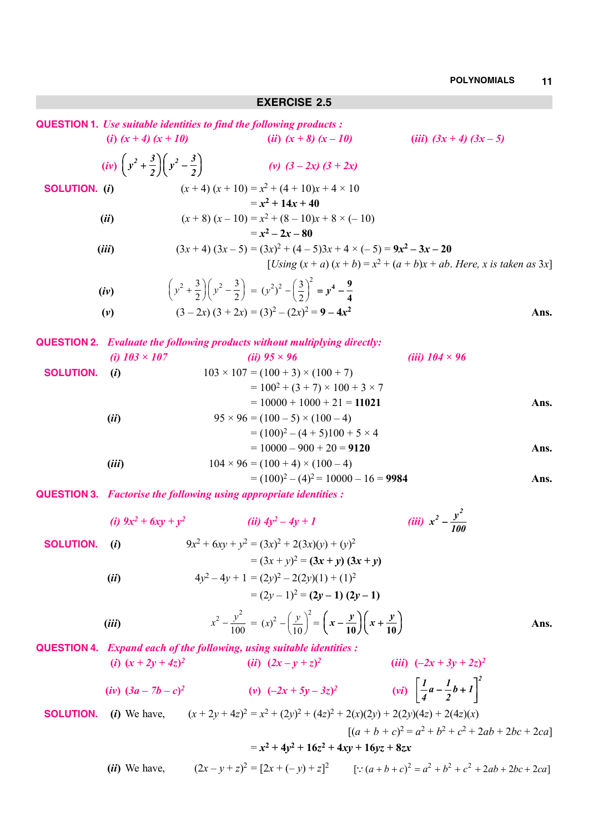## **EXERCISE 2.5**

|                      |                                                                      | <b>QUESTION 1.</b> Use suitable identities to find the following products:                                                         |                                                                                  |      |
|----------------------|----------------------------------------------------------------------|------------------------------------------------------------------------------------------------------------------------------------|----------------------------------------------------------------------------------|------|
|                      | (i) $(x + 4) (x + 10)$                                               | ( <i>ii</i> ) $(x+8) (x-10)$                                                                                                       | ( <i>iii</i> ) $(3x + 4)$ $(3x - 5)$                                             |      |
|                      | $(iv) \left(y^2 + \frac{3}{2}\right) \left(y^2 - \frac{3}{2}\right)$ | (v) $(3-2x)$ $(3 + 2x)$                                                                                                            |                                                                                  |      |
| <b>SOLUTION.</b> (i) |                                                                      | $(x+4)(x+10) = x^2 + (4+10)x + 4 \times 10$<br>$= x^2 + 14x + 40$                                                                  |                                                                                  |      |
|                      | (ii)                                                                 | $(x+8)(x-10) = x^2 + (8-10)x + 8 \times (-10)$                                                                                     |                                                                                  |      |
|                      |                                                                      | $= x^2 - 2x - 80$                                                                                                                  |                                                                                  |      |
|                      | (iii)                                                                | $(3x+4)(3x-5) = (3x)^2 + (4-5)3x + 4 \times (-5) = 9x^2 - 3x - 20$                                                                 |                                                                                  |      |
|                      |                                                                      |                                                                                                                                    | [ <i>Using</i> $(x + a) (x + b) = x^2 + (a + b)x + ab$ . Here, x is taken as 3x] |      |
|                      | (iv)                                                                 | $\left(y^2 + \frac{3}{2}\right)\left(y^2 - \frac{3}{2}\right) = (y^2)^2 - \left(\frac{3}{2}\right)^2 = y^4 - \frac{9}{4}$          |                                                                                  |      |
|                      | (v)                                                                  | $(3-2x)$ $(3 + 2x) = (3)^2 - (2x)^2 = 9 - 4x^2$                                                                                    |                                                                                  | Ans. |
|                      |                                                                      | <b>QUESTION 2.</b> Evaluate the following products without multiplying directly:                                                   |                                                                                  |      |
|                      | (i) $103 \times 107$                                                 | (ii) $95 \times 96$                                                                                                                | (iii) $104 \times 96$                                                            |      |
| <b>SOLUTION.</b>     | (i)                                                                  | $103 \times 107 = (100 + 3) \times (100 + 7)$                                                                                      |                                                                                  |      |
|                      |                                                                      | $= 100^2 + (3 + 7) \times 100 + 3 \times 7$<br>$= 10000 + 1000 + 21 = 11021$                                                       |                                                                                  |      |
|                      | (ii)                                                                 | $95 \times 96 = (100 - 5) \times (100 - 4)$                                                                                        |                                                                                  | Ans. |
|                      |                                                                      | $= (100)^2 - (4 + 5)100 + 5 \times 4$                                                                                              |                                                                                  |      |
|                      |                                                                      | $= 10000 - 900 + 20 = 9120$                                                                                                        |                                                                                  | Ans. |
|                      | (iii)                                                                | $104 \times 96 = (100 + 4) \times (100 - 4)$                                                                                       |                                                                                  |      |
|                      |                                                                      | $=(100)^2 - (4)^2 = 10000 - 16 = 9984$                                                                                             |                                                                                  | Ans. |
|                      |                                                                      | <b>QUESTION 3.</b> Factorise the following using appropriate identities :                                                          |                                                                                  |      |
|                      |                                                                      | (i) $9x^2 + 6xy + y^2$ (ii) $4y^2 - 4y + 1$                                                                                        | (iii) $x^2 - \frac{y^2}{100}$                                                    |      |
| <b>SOLUTION.</b>     | (i)                                                                  | $9x^2 + 6xy + y^2 = (3x)^2 + 2(3x)(y) + (y)^2$                                                                                     |                                                                                  |      |
|                      |                                                                      | $= (3x + y)^2 = (3x + y) (3x + y)$                                                                                                 |                                                                                  |      |
|                      | (ii)                                                                 | $4y^2 - 4y + 1 = (2y)^2 - 2(2y)(1) + (1)^2$                                                                                        |                                                                                  |      |
|                      |                                                                      | $=(2y-1)^2=(2y-1)(2y-1)$                                                                                                           |                                                                                  |      |
|                      | (iii)                                                                | $x^{2} - \frac{y^{2}}{100} = (x)^{2} - \left(\frac{y}{10}\right)^{2} = \left(x - \frac{y}{10}\right)\left(x + \frac{y}{10}\right)$ |                                                                                  | Ans. |
|                      |                                                                      | QUESTION 4. Expand each of the following, using suitable identities :                                                              |                                                                                  |      |
|                      | (i) $(x+2y+4z)^2$                                                    | ( <i>ii</i> ) $(2x - y + z)^2$                                                                                                     | ( <i>iii</i> ) $(-2x + 3y + 2z)^2$                                               |      |
|                      | (iv) $(3a - 7b - c)^2$                                               | (v) $(-2x + 5y - 3z)^2$                                                                                                            | (vi) $\left[\frac{1}{4}a - \frac{1}{2}b + 1\right]^2$                            |      |
| <b>SOLUTION.</b>     |                                                                      | (i) We have, $(x+2y+4z)^2 = x^2 + (2y)^2 + (4z)^2 + 2(x)(2y) + 2(2y)(4z) + 2(4z)(x)$                                               |                                                                                  |      |
|                      |                                                                      |                                                                                                                                    | $[(a + b + c)^2 = a^2 + b^2 + c^2 + 2ab + 2bc + 2ca]$                            |      |
|                      |                                                                      | $= x^2 + 4y^2 + 16z^2 + 4xy + 16yz + 8zx$                                                                                          |                                                                                  |      |

(*ii*) We have, 
$$
(2x - y + z)^2 = [2x + (-y) + z]^2
$$
  $[:(a+b+c)^2 = a^2 + b^2 + c^2 + 2ab + 2bc + 2ca]$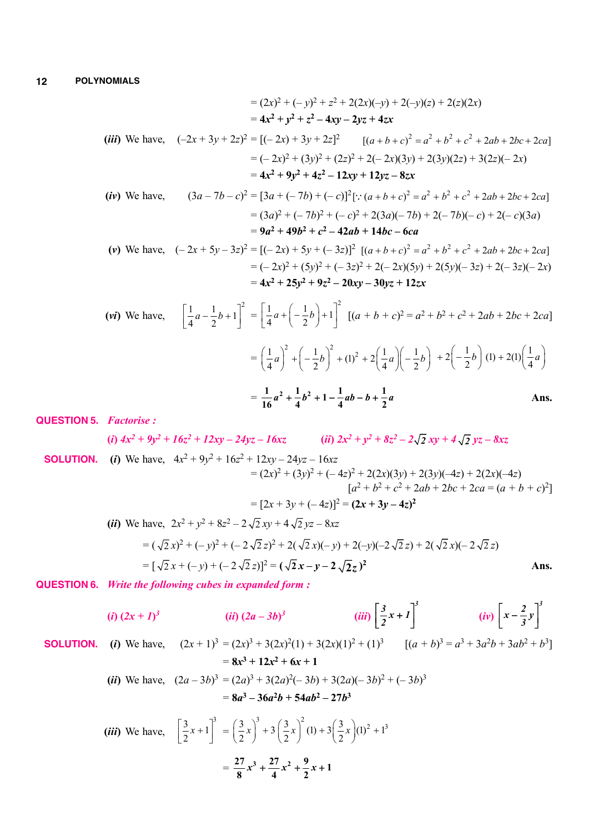$$
= (2x)^2 + (-y)^2 + z^2 + 2(2x)(-y) + 2(-y)(z) + 2(z)(2x)
$$
  
\n
$$
= 4x^2 + y^2 + z^2 - 4xy - 2yz + 4zx
$$
  
\n(iii) We have,  $(-2x + 3y + 2z)^2 = [(-2x) + 3y + 2z]^2$   $[(a + b + c)^2 = a^2 + b^2 + c^2 + 2ab + 2bc + 2ca]$   
\n
$$
= (-2x)^2 + (3y)^2 + (2z)^2 + 2(-2x)(3y) + 2(3y)(2z) + 3(2z)(-2x)
$$
  
\n
$$
= 4x^2 + 9y^2 + 4z^2 - 12xy + 12yz - 8zx
$$
  
\n(iv) We have,  $(3a - 7b - c)^2 = [3a + (-7b) + (-c)]^2 [:(a + b + c)^2 = a^2 + b^2 + c^2 + 2ab + 2bc + 2ca]$ 

$$
= (3a)^2 + (-7b)^2 + (-c)^2 + 2(3a)(-7b) + 2(-7b)(-c) + 2(-c)(3a)
$$
  
= 9a<sup>2</sup> + 49b<sup>2</sup> + c<sup>2</sup> - 42ab + 14bc - 6ca

$$
\begin{aligned} \n\text{(v) We have,} \quad & (-2x + 5y - 3z)^2 = [(-2x) + 5y + (-3z)]^2 \left[ (a + b + c)^2 = a^2 + b^2 + c^2 + 2ab + 2bc + 2ca \right] \\ \n& = (-2x)^2 + (5y)^2 + (-3z)^2 + 2(-2x)(5y) + 2(5y)(-3z) + 2(-3z)(-2x) \\ \n& = 4x^2 + 25y^2 + 9z^2 - 20xy - 30yz + 12zx \n\end{aligned}
$$

$$
\begin{aligned}\n\text{(vi) We have,} \quad & \left[ \frac{1}{4} a - \frac{1}{2} b + 1 \right]^2 = \left[ \frac{1}{4} a + \left( -\frac{1}{2} b \right) + 1 \right]^2 \left[ (a + b + c)^2 = a^2 + b^2 + c^2 + 2ab + 2bc + 2ca \right] \\
&= \left( \frac{1}{4} a \right)^2 + \left( -\frac{1}{2} b \right)^2 + (1)^2 + 2 \left( \frac{1}{4} a \right) \left( -\frac{1}{2} b \right) + 2 \left( -\frac{1}{2} b \right) (1) + 2(1) \left( \frac{1}{4} a \right) \\
&= \frac{1}{16} a^2 + \frac{1}{4} b^2 + 1 - \frac{1}{4} ab - b + \frac{1}{2} a\n\end{aligned}
$$
\nAns.

**QUESTION 5.** *Factorise :*

(i) 
$$
4x^2 + 9y^2 + 16z^2 + 12xy - 24yz - 16xz
$$
   
 (ii)  $2x^2 + y^2 + 8z^2 - 2\sqrt{2}xy + 4\sqrt{2}yz - 8xz$ 

 **SOLUTION.** (*i*) We have,  $4x^2 + 9y^2 + 16z^2 + 12xy - 24yz - 16xz$  $= (2x)^2 + (3y)^2 + (-4z)^2 + 2(2x)(3y) + 2(3y)(-4z) + 2(2x)(-4z)$  $[a^2 + b^2 + c^2 + 2ab + 2bc + 2ca = (a + b + c)^2]$  $=[2x + 3y + (-4z)]^2 = (2x + 3y - 4z)^2$ 

(*ii*) We have, 
$$
2x^2 + y^2 + 8z^2 - 2\sqrt{2}xy + 4\sqrt{2}yz - 8xz
$$
  
\n
$$
= (\sqrt{2}x)^2 + (-y)^2 + (-2\sqrt{2}z)^2 + 2(\sqrt{2}x)(-y) + 2(-y)(-2\sqrt{2}z) + 2(\sqrt{2}x)(-2\sqrt{2}z)
$$
\n
$$
= [\sqrt{2}x + (-y) + (-2\sqrt{2}z)]^2 = (\sqrt{2}x - y - 2\sqrt{2}z)^2
$$
\nAns.

**QUESTION 6.** *Write the following cubes in expanded form :*

$$
(i) (2x + 1)^3
$$
\n
$$
(ii) (2a - 3b)^3
$$
\n
$$
(iii) \left[\frac{3}{2}x + 1\right]^3
$$
\n
$$
(iv) \left[x - \frac{2}{3}y\right]^3
$$
\nSOLUTION. (i) We have,  $(2x + 1)^3 = (2x)^3 + 3(2x)^2(1) + 3(2x)(1)^2 + (1)^3$ \n
$$
= 8x^3 + 12x^2 + 6x + 1
$$
\n
$$
(ii) \text{ We have, } (2a - 3b)^3 = (2a)^3 + 3(2a)^2(-3b) + 3(2a)(-3b)^2 + (-3b)^3
$$
\n
$$
= 8a^3 - 36a^2b + 54ab^2 - 27b^3
$$
\n
$$
(iii) \text{ We have, } \left[\frac{3}{2}x + 1\right]^3 = \left(\frac{3}{2}x\right)^3 + 3\left(\frac{3}{2}x\right)^2(1) + 3\left(\frac{3}{2}x\right)(1)^2 + 1^3
$$
\n
$$
= \frac{27}{8}x^3 + \frac{27}{4}x^2 + \frac{9}{2}x + 1
$$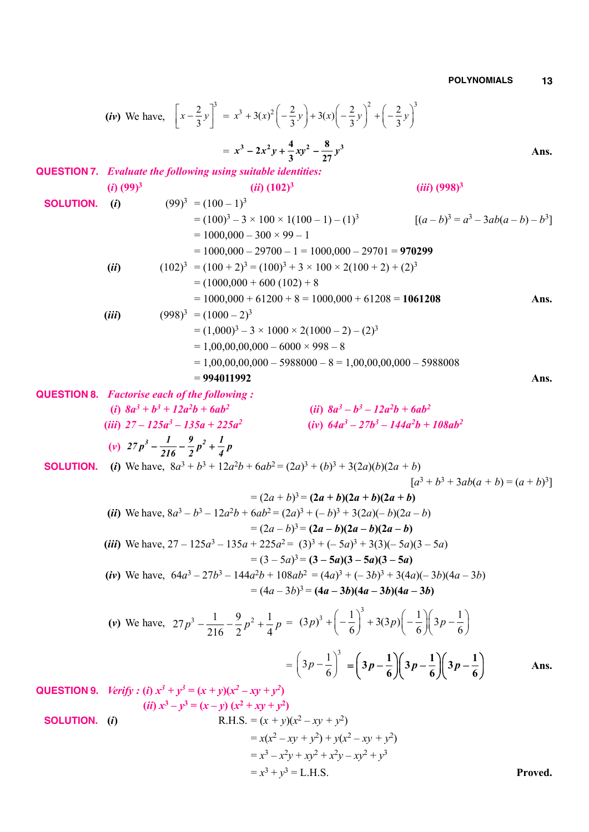(b) We have, 
$$
\left[x - \frac{2}{3}y\right]^3 = x^3 + 3(x)^2\left(-\frac{2}{3}y\right)^3 + 3(x)\left(-\frac{2}{3}y\right)^2 + \left(-\frac{2}{3}y\right)^3
$$
  
\n $= x^3 - 2x^3y + \frac{4}{3}xy^3 - \frac{8}{27}y^3$  Ans.  
\nQUESTION 7. Evaluate the following using suitable identities:  
\n(i) (99)<sup>3</sup>  
\n= (100<sup>2</sup>)<sup>2</sup> = 3 × 100 × 1(100 – 1) – (1)<sup>3</sup> [(a - b)<sup>3</sup> = a<sup>3</sup> – 3ab(a – b) – b<sup>3</sup>]  
\n= 1000,000 – 300 × 99 = 1  
\n= 1000,000 – 300 × 9200 – 1 = 1000,000 – 29701 = 970299  
\n(ii) (102)<sup>3</sup> = (100 + 2)<sup>3</sup> = (100<sup>3</sup> + 3 × 100 × 2(100 + 2) + (2)<sup>3</sup>  
\n= (1000,000 + 60100) + 8  
\n= 1000,000 + 60100 + 81000 = 1000,000 + 61208 = 1061208 Ans.  
\n(iii) (998)<sup>3</sup> = (1000-2)<sup>3</sup>  
\n= (1,0000,000 + 61200 + 8 = 1000,000 + 61208 = 1061208 Ans.  
\n(ii) (998)<sup>3</sup> = (1000-2)<sup>3</sup>  
\n= 1,00,00,000 - 60000  
\n= 994011992  
\nQUESTION 8. Factorise each of the following :  
\n(i) 8a<sup>3</sup> + b<sup>4</sup> + 12a<sup>2</sup>b + 6ab<sup>2</sup>  
\n(ii) 27 – 125a<sup>3</sup> – 135a + 225a<sup>2</sup>  
\n(i) 8a<sup>2</sup> + b<sup>4</sup> + 12a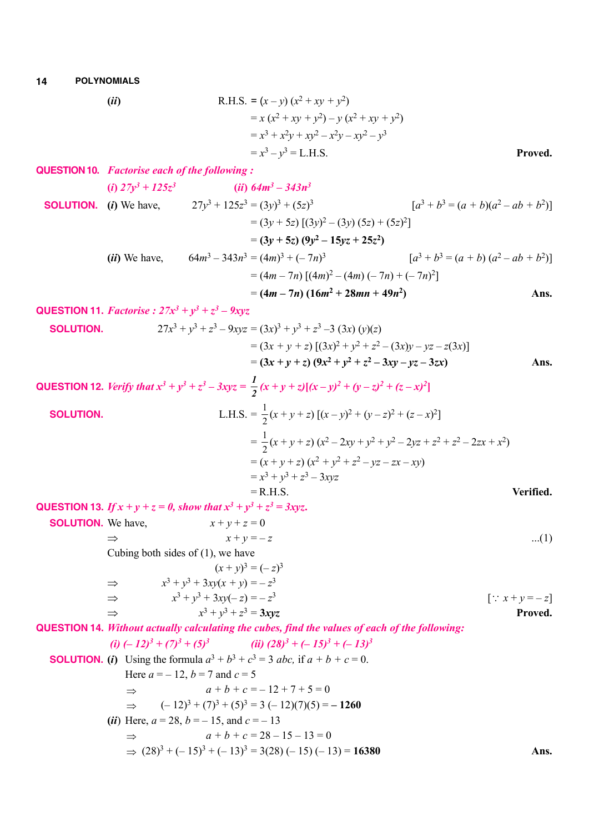14 POLYNOMIALS  
\n(ii) R.H.S. = 
$$
(x - y) (x^2 + xy + y^2)
$$
  
\n=  $x (x^2 + xy + y^2) - y (x^2 + xy + y^2)$   
\n=  $x^3 + x^2y + xy^2 - x^2y - xy^2 - y^3$   
\n=  $x^3 - y^3 = L.H.S.$  Proved.  
\n**QUESTION 10.** Factorise each of the following :  
\n(i)  $27y^3 + 125z^3$  (ii)  $64m^3 - 343n^3$   
\n**SOLUTION 10.** (i) We have,  $27y^3 + 125z^3 = (3y)^3 + (5z)^3$   $[a^3 + b^3 = (a + b)(a^2 - ab + b^2)]$   
\n=  $(3y + 5z) (3y^2 - (3y) (5z) + (5z)^2]$   
\n=  $(3y + 5z) (9y^2 - 15yz + 25z^2)$   
\n(ii) We have,  $64m^3 - 343n^3 = (4m)^3 + (-7n)^3$   $[a^3 + b^3 = (a + b) (a^2 - ab + b^2)]$   
\n=  $(4m - 7n) [(4m)^2 - (4m) (-7n) + (-7n)^2]$   
\n=  $(4m - 7n) (16m^2 + 28mn + 49n^2)$  Ans.  
\n**QUESTION 11.** Factorise :  $27x^3 + y^3 + z^3 - 9xyz$   
\n**SOLUTION 11.** Factorise :  $27x^3 + y^3 + z^3 - 9xyz$   
\n=  $(3x + y + z) [(3x)^2 + y^2 + z^2 - (3xy) - yz - z(3x)]$   
\n=  $(3x + y + z) (9x^2 + y^2 + z^2 - 3xy - yz - 3zx)$  Ans.  
\n**QUESTION 12.** Verify that  $x^3 + y^3 + z^3 - 3xyz = \frac{1}{2}(x + y + z)[(x - y)^2 + (y - z)^2 + (z - x)^2]$ 

**SOLUTION.**  
\nL.H.S. = 
$$
\frac{1}{2}(x + y + z) [(x - y)^2 + (y - z)^2 + (z - x)^2]
$$
  
\n=  $\frac{1}{2}(x + y + z) (x^2 - 2xy + y^2 + y^2 - 2yz + z^2 + z^2 - 2zx + x^2)$   
\n=  $(x + y + z) (x^2 + y^2 + z^2 - yz - zx - xy)$   
\n=  $x^3 + y^3 + z^3 - 3xyz$   
\n= R.H.S.  
\nVertical

**QUESTION 13.** If 
$$
x + y + z = 0
$$
, show that  $x^3 + y^3 + z^3 = 3xyz$ .  
\n**SOLUTION.** We have,  
\n
$$
x + y + z = 0
$$
\n
$$
x + y = -z
$$
\n
$$
(1)
$$
\n
$$
(2)
$$
\n
$$
x + y = -z
$$
\n
$$
(x + y)^3 = (-z)^3
$$
\n
$$
x^3 + y^3 + 3xy(x + y) = -z^3
$$
\n
$$
x^3 + y^3 + 3xy(-z) = -z^3
$$
\n
$$
x^3 + y^3 + z^3 = 3xyz
$$
\n
$$
y^3 + y^3 + z^3 = 3xyz
$$
\nProved.

**QUESTION 14.** *Without actually calculating the cubes, find the values of each of the following:*  $(ii)$   $(-12)^3 + (7)^3 + (5)^3$   $(ii)$   $(28)^3 + (-15)^3 + (-13)^3$ 

**SOLUTION.** (i) Using the formula 
$$
a^3 + b^3 + c^3 = 3
$$
 abc, if  $a + b + c = 0$ .  
\nHere  $a = -12$ ,  $b = 7$  and  $c = 5$   
\n⇒  $a + b + c = -12 + 7 + 5 = 0$   
\n⇒  $(-12)^3 + (7)^3 + (5)^3 = 3(-12)(7)(5) = -1260$   
\n(ii) Here,  $a = 28$ ,  $b = -15$ , and  $c = -13$   
\n⇒  $a + b + c = 28 - 15 - 13 = 0$   
\n⇒  $(28)^3 + (-15)^3 + (-13)^3 = 3(28) (-15) (-13) = 16380$